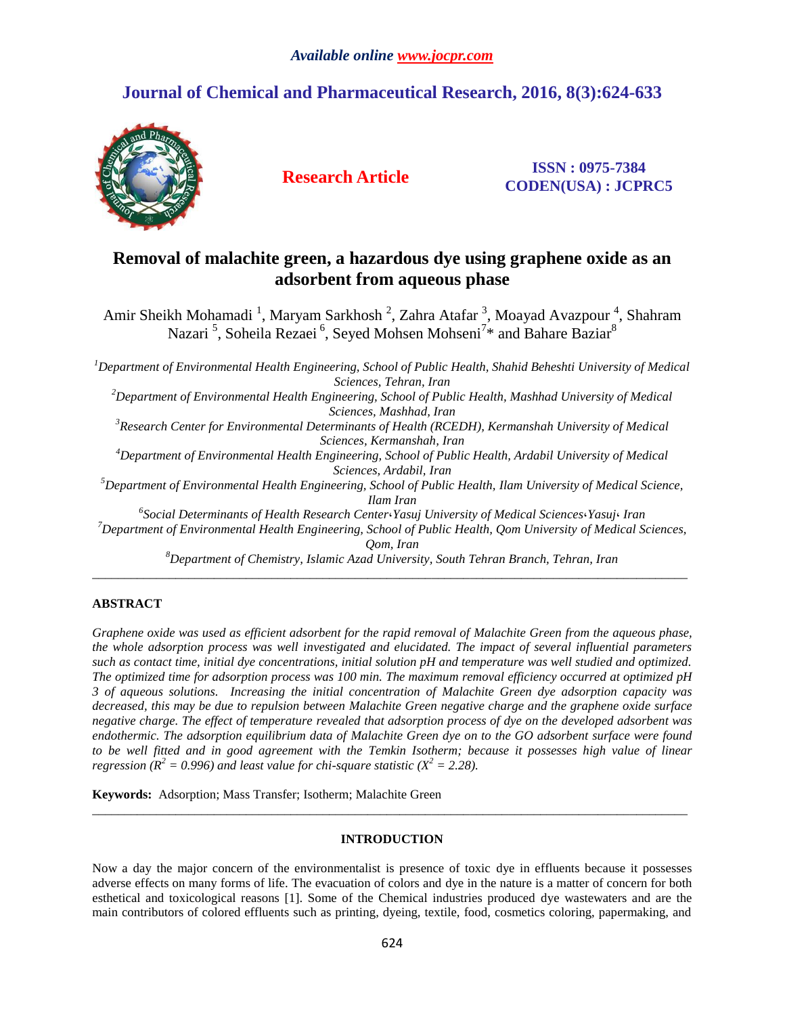# *Available online www.jocpr.com*

# **Journal of Chemical and Pharmaceutical Research, 2016, 8(3):624-633**



**Research Article ISSN : 0975-7384 CODEN(USA) : JCPRC5**

# **Removal of [malachite green,](http://www.sciencedirect.com/science/article/pii/S016773221530979X) a hazardous dye using graphene oxide as an adsorbent from aqueous phase**

Amir Sheikh Mohamadi<sup>1</sup>, Maryam Sarkhosh<sup>2</sup>, Zahra Atafar<sup>3</sup>, Moayad Avazpour<sup>4</sup>, Shahram Nazari<sup>5</sup>, Soheila Rezaei<sup>6</sup>, Seyed Mohsen Mohseni<sup>7</sup>\* and Bahare Baziar<sup>8</sup>

*<sup>1</sup>Department of Environmental Health Engineering, School of Public Health, Shahid Beheshti University of Medical Sciences, Tehran, Iran*

*<sup>2</sup>Department of Environmental Health Engineering, School of Public Health, Mashhad University of Medical Sciences, Mashhad, Iran*

*<sup>3</sup>Research Center for Environmental Determinants of Health (RCEDH), Kermanshah University of Medical Sciences, Kermanshah, Iran*

*<sup>4</sup>Department of Environmental Health Engineering, School of Public Health, Ardabil University of Medical Sciences, Ardabil, Iran*

*<sup>5</sup>Department of Environmental Health Engineering, School of Public Health, Ilam University of Medical Science, Ilam Iran*

*6 Social Determinants of Health Research Center*،*Yasuj University of Medical Sciences*،*Yasuj*، *Iran*

*<sup>7</sup>Department of Environmental Health Engineering, School of Public Health, Qom University of Medical Sciences, Qom, Iran*

*<sup>8</sup>Department of Chemistry, Islamic Azad University, South Tehran Branch, Tehran, Iran* \_\_\_\_\_\_\_\_\_\_\_\_\_\_\_\_\_\_\_\_\_\_\_\_\_\_\_\_\_\_\_\_\_\_\_\_\_\_\_\_\_\_\_\_\_\_\_\_\_\_\_\_\_\_\_\_\_\_\_\_\_\_\_\_\_\_\_\_\_\_\_\_\_\_\_\_\_\_\_\_\_\_\_\_\_\_\_\_\_\_\_\_\_

## **ABSTRACT**

*Graphene oxide was used as efficient adsorbent for the rapid removal of Malachite Green from the aqueous phase, the whole adsorption process was well investigated and elucidated. The impact of several influential parameters such as contact time, initial dye concentrations, initial solution pH and temperature was well studied and optimized. The optimized time for adsorption process was 100 min. The maximum removal efficiency occurred at optimized pH 3 of aqueous solutions. Increasing the initial concentration of Malachite Green dye adsorption capacity was decreased, this may be due to repulsion between Malachite Green negative charge and the graphene oxide surface negative charge. The effect of temperature revealed that adsorption process of dye on the developed adsorbent was endothermic. The adsorption equilibrium data of Malachite Green dye on to the GO adsorbent surface were found to be well fitted and in good agreement with the Temkin Isotherm; because it possesses high value of linear regression*  $(R^2 = 0.996)$  *and least value for chi-square statistic*  $(X^2 = 2.28)$ .

**Keywords:** Adsorption; Mass Transfer; Isotherm; [Malachite Green](http://www.sciencedirect.com/science/article/pii/S016773221530979X)

## **INTRODUCTION**

 $\_$  ,  $\_$  ,  $\_$  ,  $\_$  ,  $\_$  ,  $\_$  ,  $\_$  ,  $\_$  ,  $\_$  ,  $\_$  ,  $\_$  ,  $\_$  ,  $\_$  ,  $\_$  ,  $\_$  ,  $\_$  ,  $\_$  ,  $\_$  ,  $\_$  ,  $\_$  ,  $\_$  ,  $\_$  ,  $\_$  ,  $\_$  ,  $\_$  ,  $\_$  ,  $\_$  ,  $\_$  ,  $\_$  ,  $\_$  ,  $\_$  ,  $\_$  ,  $\_$  ,  $\_$  ,  $\_$  ,  $\_$  ,  $\_$  ,

Now a day the major concern of the environmentalist is presence of toxic dye in effluents because it possesses adverse effects on many forms of life. The evacuation of colors and dye in the nature is a matter of concern for both esthetical and toxicological reasons [1]. Some of the Chemical industries produced dye wastewaters and are the main contributors of colored effluents such as printing, dyeing, textile, food, cosmetics coloring, papermaking, and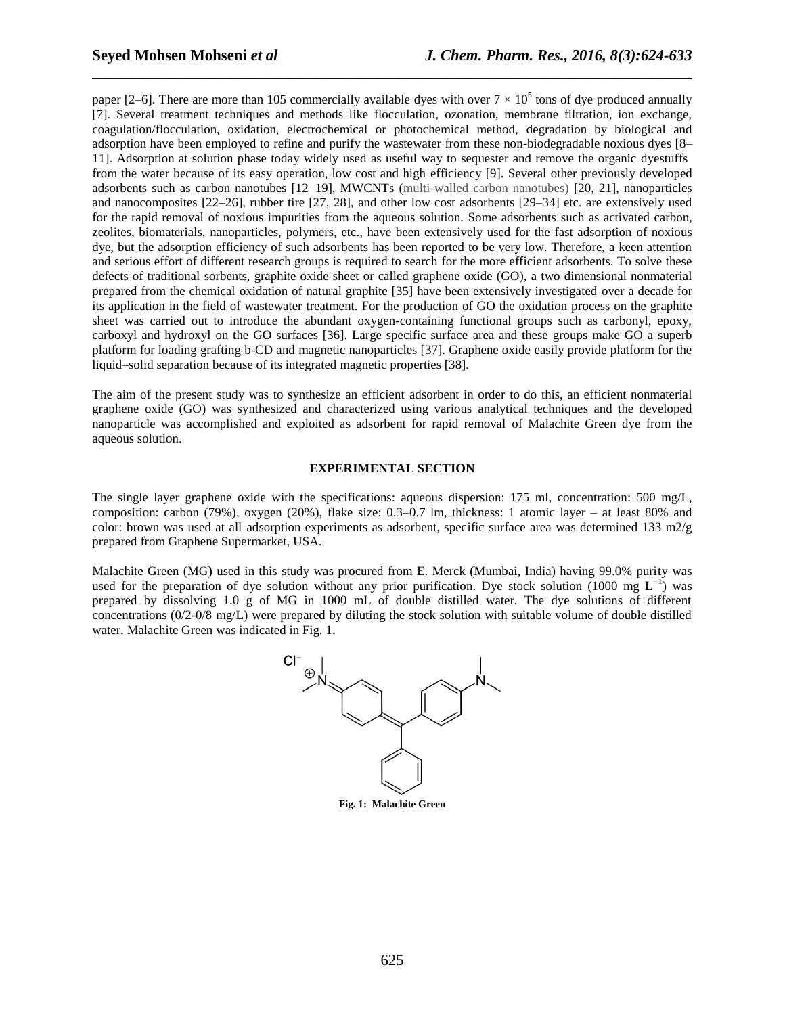paper [2–6]. There are more than 105 commercially available dyes with over  $7 \times 10^5$  tons of dye produced annually [7]. Several treatment techniques and methods like flocculation, ozonation, membrane filtration, ion exchange, coagulation/flocculation, oxidation, electrochemical or photochemical method, degradation by biological and adsorption have been employed to refine and purify the wastewater from these non-biodegradable noxious dyes [8– 11]. Adsorption at solution phase today widely used as useful way to sequester and remove the organic dyestuffs from the water because of its easy operation, low cost and high efficiency [9]. Several other previously developed adsorbents such as carbon nanotubes [12–19], MWCNTs (multi-walled carbon nanotubes) [20, 21], nanoparticles and nanocomposites [22–26], rubber tire [27, 28], and other low cost adsorbents [29–34] etc. are extensively used for the rapid removal of noxious impurities from the aqueous solution. Some adsorbents such as activated carbon, zeolites, biomaterials, nanoparticles, polymers, etc., have been extensively used for the fast adsorption of noxious dye, but the adsorption efficiency of such adsorbents has been reported to be very low. Therefore, a keen attention and serious effort of different research groups is required to search for the more efficient adsorbents. To solve these defects of traditional sorbents, graphite oxide sheet or called graphene oxide (GO), a two dimensional nonmaterial prepared from the chemical oxidation of natural graphite [35] have been extensively investigated over a decade for its application in the field of wastewater treatment. For the production of GO the oxidation process on the graphite sheet was carried out to introduce the abundant oxygen-containing functional groups such as carbonyl, epoxy, carboxyl and hydroxyl on the GO surfaces [36]. Large specific surface area and these groups make GO a superb platform for loading grafting b-CD and magnetic nanoparticles [37]. Graphene oxide easily provide platform for the liquid–solid separation because of its integrated magnetic properties [38].

\_\_\_\_\_\_\_\_\_\_\_\_\_\_\_\_\_\_\_\_\_\_\_\_\_\_\_\_\_\_\_\_\_\_\_\_\_\_\_\_\_\_\_\_\_\_\_\_\_\_\_\_\_\_\_\_\_\_\_\_\_\_\_\_\_\_\_\_\_\_\_\_\_\_\_\_\_\_

The aim of the present study was to synthesize an efficient adsorbent in order to do this, an efficient nonmaterial graphene oxide (GO) was synthesized and characterized using various analytical techniques and the developed nanoparticle was accomplished and exploited as adsorbent for rapid removal of Malachite Green dye from the aqueous solution.

## **EXPERIMENTAL SECTION**

The single layer graphene oxide with the specifications: aqueous dispersion: 175 ml, concentration: 500 mg/L, composition: carbon (79%), oxygen (20%), flake size: 0.3–0.7 lm, thickness: 1 atomic layer – at least 80% and color: brown was used at all adsorption experiments as adsorbent, specific surface area was determined 133 m2/g prepared from Graphene Supermarket, USA.

Malachite Green (MG) used in this study was procured from E. Merck (Mumbai, India) having 99.0% purity was used for the preparation of dye solution without any prior purification. Dye stock solution (1000 mg  $L^{-1}$ ) was prepared by dissolving 1.0 g of MG in 1000 mL of double distilled water. The dye solutions of different concentrations (0/2-0/8 mg/L) were prepared by diluting the stock solution with suitable volume of double distilled water. Malachite Green was indicated in Fig. 1.



625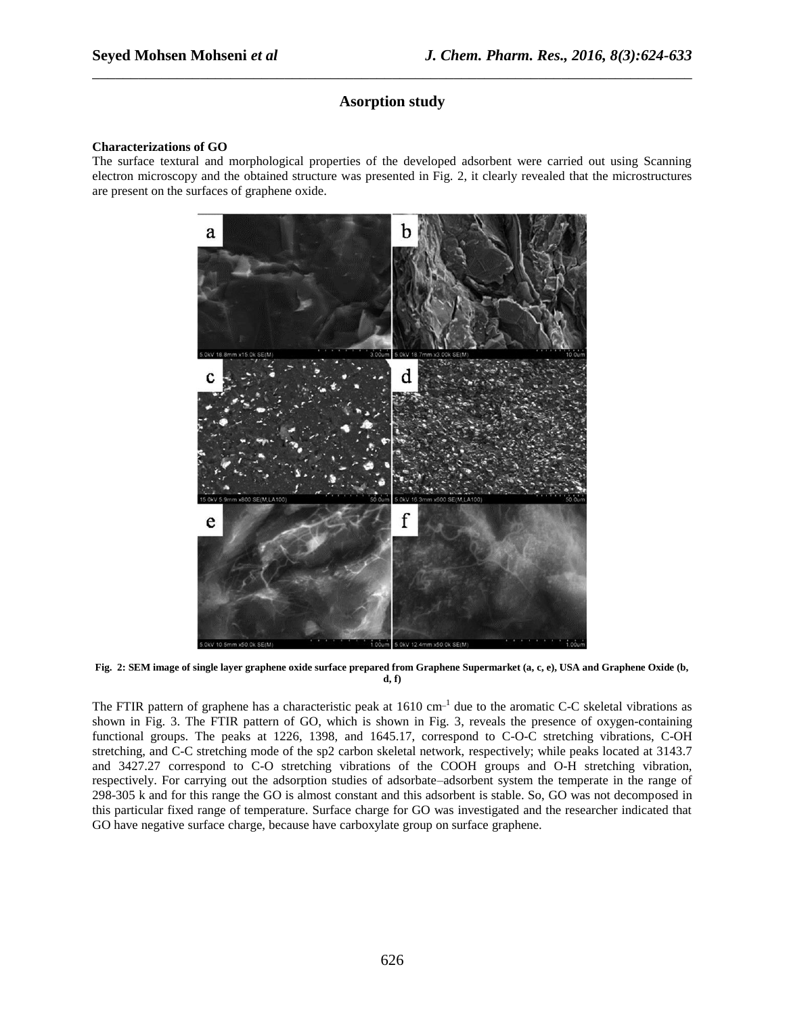# **Asorption study**

\_\_\_\_\_\_\_\_\_\_\_\_\_\_\_\_\_\_\_\_\_\_\_\_\_\_\_\_\_\_\_\_\_\_\_\_\_\_\_\_\_\_\_\_\_\_\_\_\_\_\_\_\_\_\_\_\_\_\_\_\_\_\_\_\_\_\_\_\_\_\_\_\_\_\_\_\_\_

## **Characterizations of GO**

The surface textural and morphological properties of the developed adsorbent were carried out using Scanning electron microscopy and the obtained structure was presented in Fig. 2, it clearly revealed that the microstructures are present on the surfaces of graphene oxide.



**Fig. 2: SEM image of single layer graphene oxide surface prepared from Graphene Supermarket (a, c, e), USA and Graphene Oxide (b, d, f)**

The FTIR pattern of graphene has a characteristic peak at  $1610 \text{ cm}^{-1}$  due to the aromatic C-C skeletal vibrations as shown in Fig. 3. The FTIR pattern of GO, which is shown in Fig. 3, reveals the presence of oxygen-containing functional groups. The peaks at 1226, 1398, and 1645.17, correspond to C-O-C stretching vibrations, C-OH stretching, and C-C stretching mode of the sp2 carbon skeletal network, respectively; while peaks located at 3143.7 and 3427.27 correspond to C-O stretching vibrations of the COOH groups and O-H stretching vibration, respectively. For carrying out the adsorption studies of adsorbate–adsorbent system the temperate in the range of 298-305 k and for this range the GO is almost constant and this adsorbent is stable. So, GO was not decomposed in this particular fixed range of temperature. Surface charge for GO was investigated and the researcher indicated that GO have negative surface charge, because have carboxylate group on surface graphene.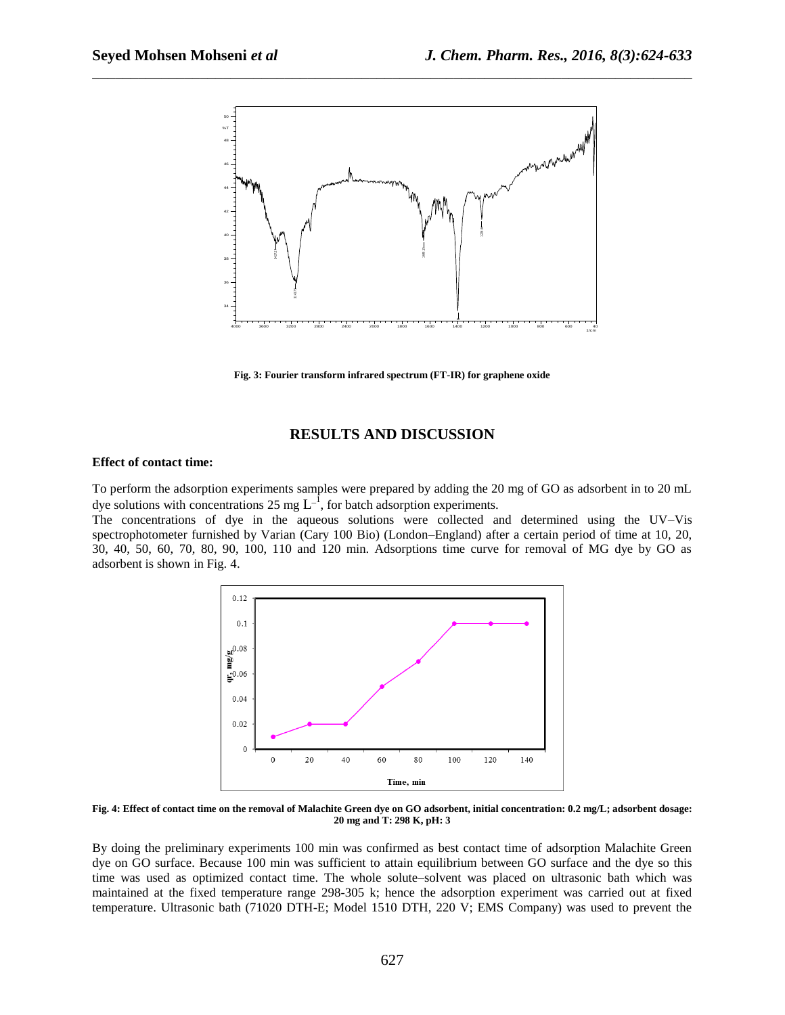

\_\_\_\_\_\_\_\_\_\_\_\_\_\_\_\_\_\_\_\_\_\_\_\_\_\_\_\_\_\_\_\_\_\_\_\_\_\_\_\_\_\_\_\_\_\_\_\_\_\_\_\_\_\_\_\_\_\_\_\_\_\_\_\_\_\_\_\_\_\_\_\_\_\_\_\_\_\_

**Fig. 3: Fourier transform infrared spectrum (FT-IR) for graphene oxide**

## **RESULTS AND DISCUSSION**

#### **Effect of contact time:**

To perform the adsorption experiments samples were prepared by adding the 20 mg of GO as adsorbent in to 20 mL dye solutions with concentrations 25 mg  $L^{-1}$ , for batch adsorption experiments.

The concentrations of dye in the aqueous solutions were collected and determined using the UV–Vis spectrophotometer furnished by Varian (Cary 100 Bio) (London–England) after a certain period of time at 10, 20, 30, 40, 50, 60, 70, 80, 90, 100, 110 and 120 min. Adsorptions time curve for removal of MG dye by GO as adsorbent is shown in Fig. 4.



**Fig. 4: Effect of contact time on the removal of Malachite Green dye on GO adsorbent, initial concentration: 0.2 mg/L; adsorbent dosage: 20 mg and T: 298 K, pH: 3**

By doing the preliminary experiments 100 min was confirmed as best contact time of adsorption Malachite Green dye on GO surface. Because 100 min was sufficient to attain equilibrium between GO surface and the dye so this time was used as optimized contact time. The whole solute–solvent was placed on ultrasonic bath which was maintained at the fixed temperature range 298-305 k; hence the adsorption experiment was carried out at fixed temperature. Ultrasonic bath (71020 DTH-E; Model 1510 DTH, 220 V; EMS Company) was used to prevent the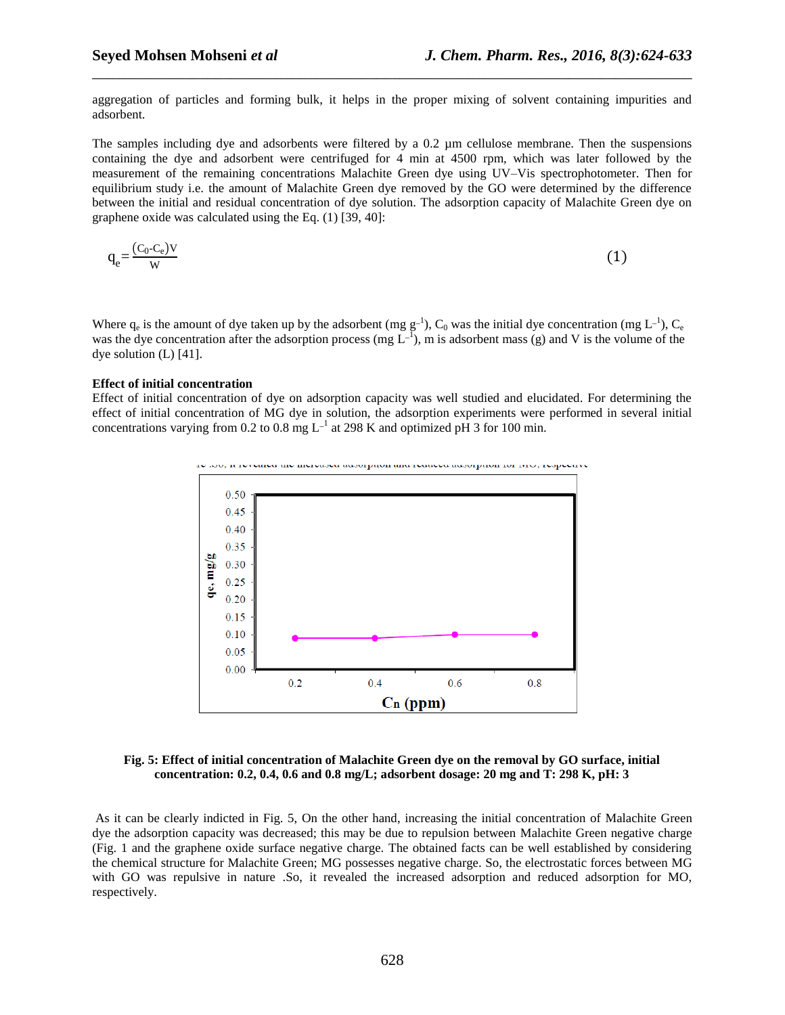aggregation of particles and forming bulk, it helps in the proper mixing of solvent containing impurities and adsorbent.

\_\_\_\_\_\_\_\_\_\_\_\_\_\_\_\_\_\_\_\_\_\_\_\_\_\_\_\_\_\_\_\_\_\_\_\_\_\_\_\_\_\_\_\_\_\_\_\_\_\_\_\_\_\_\_\_\_\_\_\_\_\_\_\_\_\_\_\_\_\_\_\_\_\_\_\_\_\_

The samples including dye and adsorbents were filtered by a 0.2 µm cellulose membrane. Then the suspensions containing the dye and adsorbent were centrifuged for 4 min at 4500 rpm, which was later followed by the measurement of the remaining concentrations Malachite Green dye using UV–Vis spectrophotometer. Then for equilibrium study i.e. the amount of Malachite Green dye removed by the GO were determined by the difference between the initial and residual concentration of dye solution. The adsorption capacity of Malachite Green dye on graphene oxide was calculated using the Eq. (1) [39, 40]:

$$
q_e = \frac{(C_0 - C_e)V}{W} \tag{1}
$$

Where  $q_e$  is the amount of dye taken up by the adsorbent (mg  $g^{-1}$ ),  $C_0$  was the initial dye concentration (mg  $L^{-1}$ ),  $C_e$ was the dye concentration after the adsorption process (mg  $L^{-1}$ ), m is adsorbent mass (g) and V is the volume of the dye solution (L) [41].

#### **Effect of initial concentration**

Effect of initial concentration of dye on adsorption capacity was well studied and elucidated. For determining the effect of initial concentration of MG dye in solution, the adsorption experiments were performed in several initial concentrations varying from 0.2 to 0.8 mg  $L^{-1}$  at 298 K and optimized pH 3 for 100 min.



**Fig. 5: Effect of initial concentration of Malachite Green dye on the removal by GO surface, initial concentration: 0.2, 0.4, 0.6 and 0.8 mg/L; adsorbent dosage: 20 mg and T: 298 K, pH: 3**

As it can be clearly indicted in Fig. 5, On the other hand, increasing the initial concentration of Malachite Green dye the adsorption capacity was decreased; this may be due to repulsion between Malachite Green negative charge (Fig. 1 and the graphene oxide surface negative charge. The obtained facts can be well established by considering the chemical structure for Malachite Green; MG possesses negative charge. So, the electrostatic forces between MG with GO was repulsive in nature .So, it revealed the increased adsorption and reduced adsorption for MO, respectively.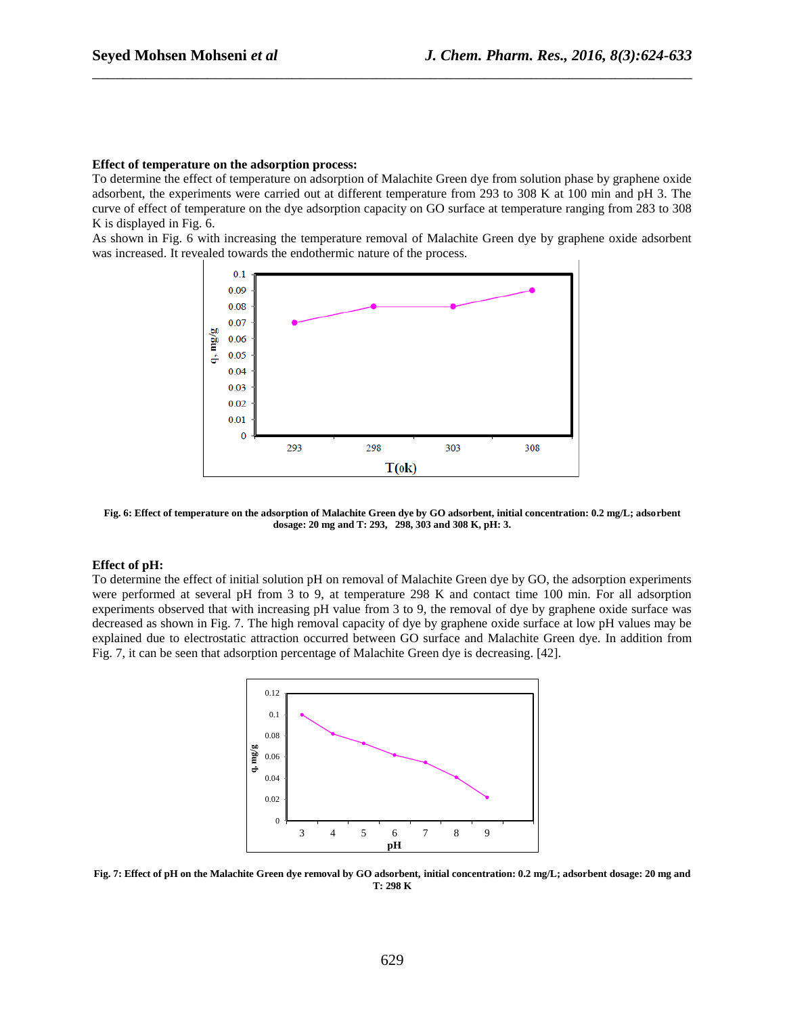#### **Effect of temperature on the adsorption process:**

To determine the effect of temperature on adsorption of Malachite Green dye from solution phase by graphene oxide adsorbent, the experiments were carried out at different temperature from 293 to 308 K at 100 min and pH 3. The curve of effect of temperature on the dye adsorption capacity on GO surface at temperature ranging from 283 to 308 K is displayed in Fig. 6.

\_\_\_\_\_\_\_\_\_\_\_\_\_\_\_\_\_\_\_\_\_\_\_\_\_\_\_\_\_\_\_\_\_\_\_\_\_\_\_\_\_\_\_\_\_\_\_\_\_\_\_\_\_\_\_\_\_\_\_\_\_\_\_\_\_\_\_\_\_\_\_\_\_\_\_\_\_\_

As shown in Fig. 6 with increasing the temperature removal of Malachite Green dye by graphene oxide adsorbent was increased. It revealed towards the endothermic nature of the process.



**Fig. 6: Effect of temperature on the adsorption of Malachite Green dye by GO adsorbent, initial concentration: 0.2 mg/L; adsorbent dosage: 20 mg and T: 293, 298, 303 and 308 K, pH: 3.**

## **Effect of pH:**

To determine the effect of initial solution pH on removal of Malachite Green dye by GO, the adsorption experiments were performed at several pH from 3 to 9, at temperature 298 K and contact time 100 min. For all adsorption experiments observed that with increasing pH value from 3 to 9, the removal of dye by graphene oxide surface was decreased as shown in Fig. 7. The high removal capacity of dye by graphene oxide surface at low pH values may be explained due to electrostatic attraction occurred between GO surface and Malachite Green dye. In addition from Fig. 7, it can be seen that adsorption percentage of Malachite Green dye is decreasing. [42].



**Fig. 7: Effect of pH on the Malachite Green dye removal by GO adsorbent, initial concentration: 0.2 mg/L; adsorbent dosage: 20 mg and T: 298 K**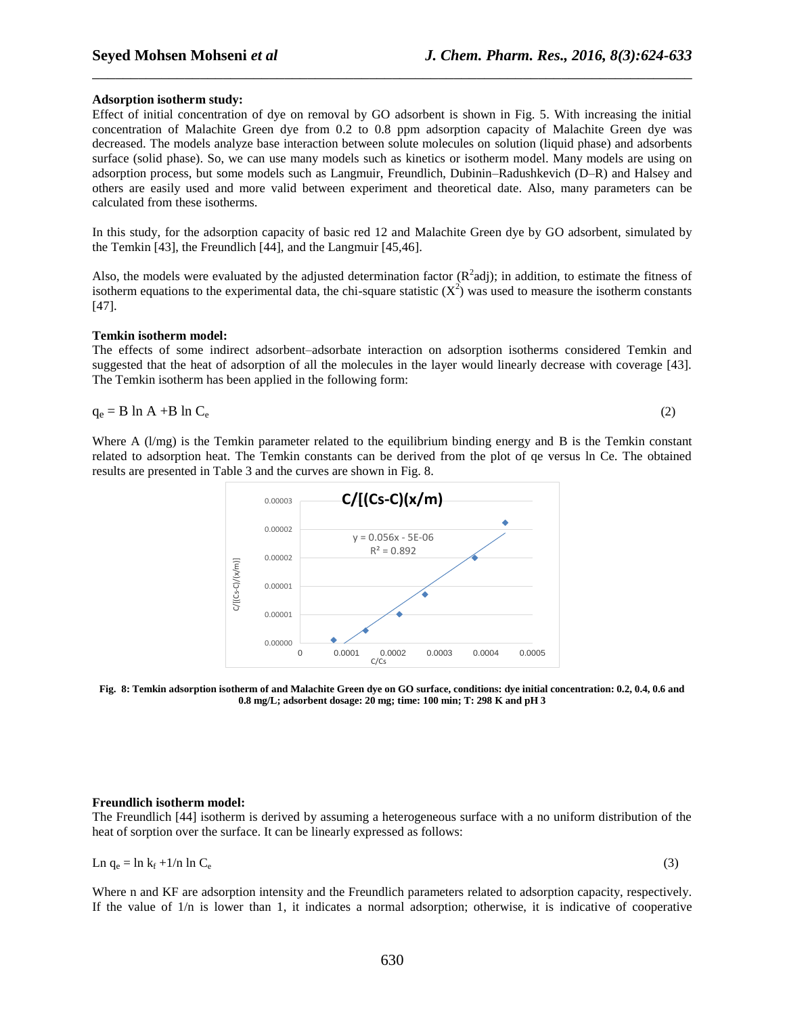### **Adsorption isotherm study:**

Effect of initial concentration of dye on removal by GO adsorbent is shown in Fig. 5. With increasing the initial concentration of Malachite Green dye from 0.2 to 0.8 ppm adsorption capacity of Malachite Green dye was decreased. The models analyze base interaction between solute molecules on solution (liquid phase) and adsorbents surface (solid phase). So, we can use many models such as kinetics or isotherm model. Many models are using on adsorption process, but some models such as Langmuir, Freundlich, Dubinin–Radushkevich (D–R) and Halsey and others are easily used and more valid between experiment and theoretical date. Also, many parameters can be calculated from these isotherms.

\_\_\_\_\_\_\_\_\_\_\_\_\_\_\_\_\_\_\_\_\_\_\_\_\_\_\_\_\_\_\_\_\_\_\_\_\_\_\_\_\_\_\_\_\_\_\_\_\_\_\_\_\_\_\_\_\_\_\_\_\_\_\_\_\_\_\_\_\_\_\_\_\_\_\_\_\_\_

In this study, for the adsorption capacity of basic red 12 and Malachite Green dye by GO adsorbent, simulated by the Temkin [43], the Freundlich [44], and the Langmuir [45,46].

Also, the models were evaluated by the adjusted determination factor  $(R^2$ adj); in addition, to estimate the fitness of isotherm equations to the experimental data, the chi-square statistic  $(X^2)$  was used to measure the isotherm constants [47].

#### **Temkin isotherm model:**

The effects of some indirect adsorbent–adsorbate interaction on adsorption isotherms considered Temkin and suggested that the heat of adsorption of all the molecules in the layer would linearly decrease with coverage [43]. The Temkin isotherm has been applied in the following form:

$$
q_e = B \ln A + B \ln C_e \tag{2}
$$

Where A (l/mg) is the Temkin parameter related to the equilibrium binding energy and B is the Temkin constant related to adsorption heat. The Temkin constants can be derived from the plot of qe versus ln Ce. The obtained results are presented in Table 3 and the curves are shown in Fig. 8.



**Fig. 8: Temkin adsorption isotherm of and Malachite Green dye on GO surface, conditions: dye initial concentration: 0.2, 0.4, 0.6 and 0.8 mg/L; adsorbent dosage: 20 mg; time: 100 min; T: 298 K and pH 3**

## **Freundlich isotherm model:**

The Freundlich [44] isotherm is derived by assuming a heterogeneous surface with a no uniform distribution of the heat of sorption over the surface. It can be linearly expressed as follows:

$$
\text{Ln } q_e = \ln k_f + 1/\text{n } \ln C_e \tag{3}
$$

Where n and KF are adsorption intensity and the Freundlich parameters related to adsorption capacity, respectively. If the value of  $1/n$  is lower than 1, it indicates a normal adsorption; otherwise, it is indicative of cooperative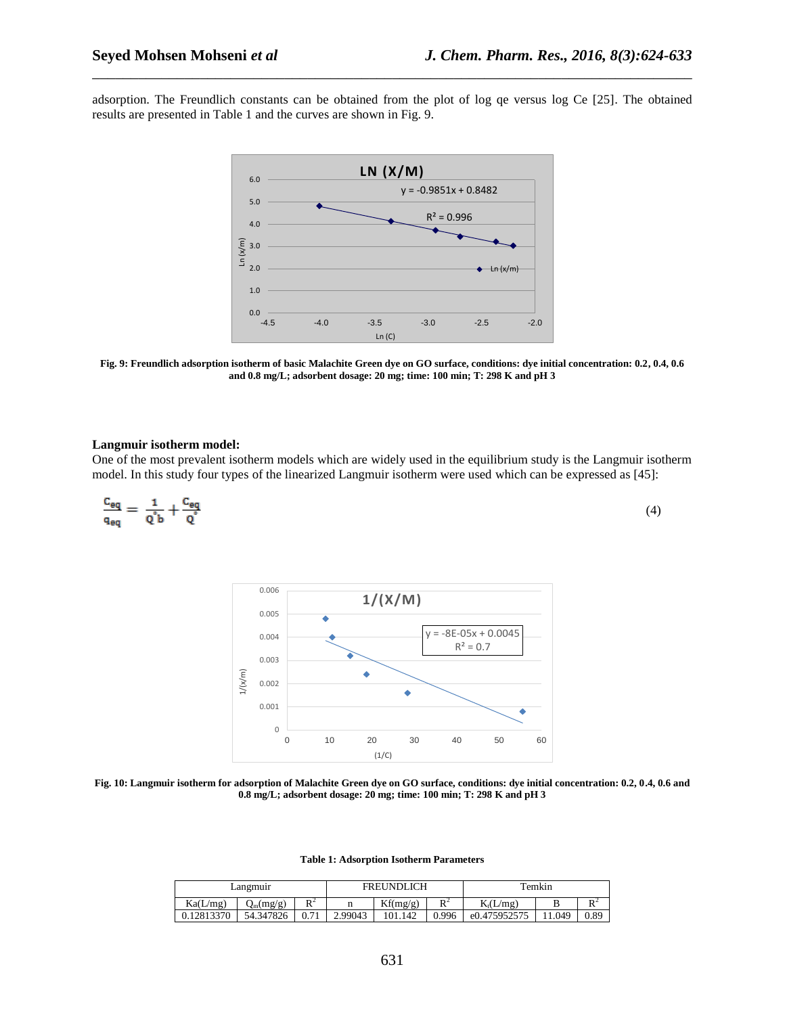adsorption. The Freundlich constants can be obtained from the plot of log qe versus log Ce [25]. The obtained results are presented in Table 1 and the curves are shown in Fig. 9.

\_\_\_\_\_\_\_\_\_\_\_\_\_\_\_\_\_\_\_\_\_\_\_\_\_\_\_\_\_\_\_\_\_\_\_\_\_\_\_\_\_\_\_\_\_\_\_\_\_\_\_\_\_\_\_\_\_\_\_\_\_\_\_\_\_\_\_\_\_\_\_\_\_\_\_\_\_\_



**Fig. 9: Freundlich adsorption isotherm of basic Malachite Green dye on GO surface, conditions: dye initial concentration: 0.2, 0.4, 0.6 and 0.8 mg/L; adsorbent dosage: 20 mg; time: 100 min; T: 298 K and pH 3**

## **Langmuir isotherm model:**

One of the most prevalent isotherm models which are widely used in the equilibrium study is the Langmuir isotherm model. In this study four types of the linearized Langmuir isotherm were used which can be expressed as [45]:

$$
\frac{c_{eq}}{q_{eq}} = \frac{1}{q^{\circ}b} + \frac{c_{eq}}{q^{\circ}}
$$
 (4)



**Fig. 10: Langmuir isotherm for adsorption of Malachite Green dye on GO surface, conditions: dye initial concentration: 0.2, 0.4, 0.6 and 0.8 mg/L; adsorbent dosage: 20 mg; time: 100 min; T: 298 K and pH 3**

**Table 1: Adsorption Isotherm Parameters**

| Langmuir   |             |       | <b>FREUNDLICH</b> |          |                | Temkin                           |        |                |
|------------|-------------|-------|-------------------|----------|----------------|----------------------------------|--------|----------------|
| Ka(L/mg)   | $Q_m(mg/g)$ | $E^2$ |                   | Kf(mg/g) | D <sup>2</sup> | $K_t(L/mg)$                      |        | $\mathbf{D}^2$ |
| 0.12813370 | 54.347826 1 | 0.71  | 2.99043           | 101.142  |                | $\vert 0.996 \vert$ e0.475952575 | 11.049 | 0.89           |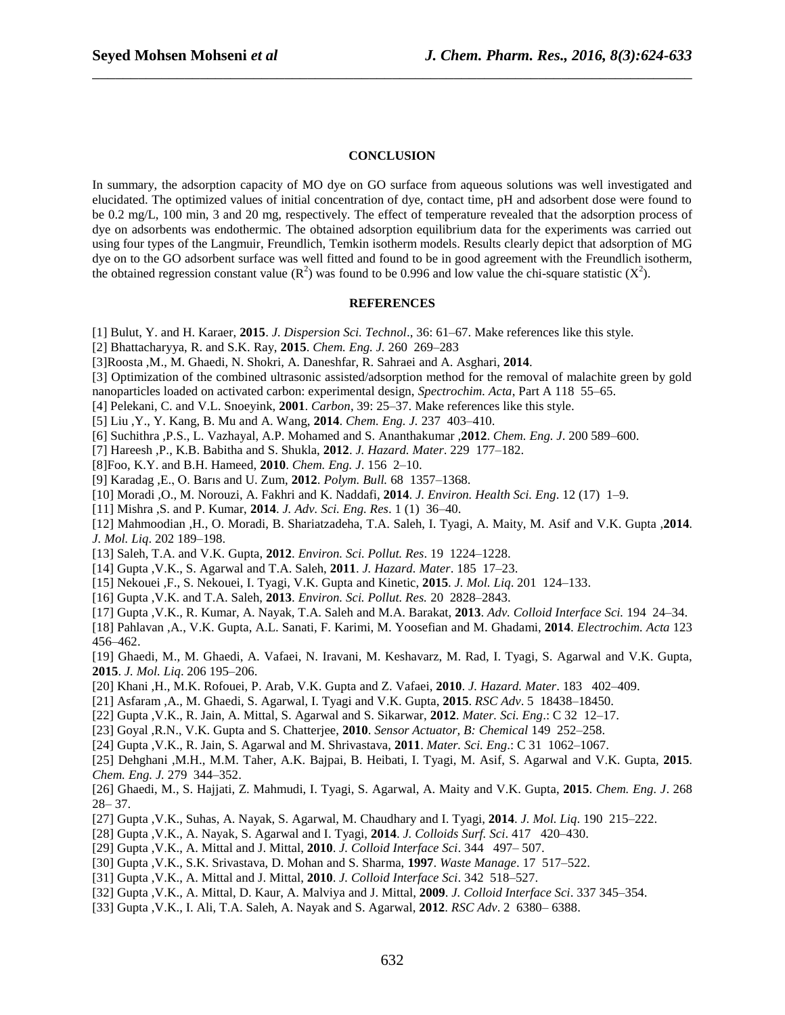## **CONCLUSION**

\_\_\_\_\_\_\_\_\_\_\_\_\_\_\_\_\_\_\_\_\_\_\_\_\_\_\_\_\_\_\_\_\_\_\_\_\_\_\_\_\_\_\_\_\_\_\_\_\_\_\_\_\_\_\_\_\_\_\_\_\_\_\_\_\_\_\_\_\_\_\_\_\_\_\_\_\_\_

In summary, the adsorption capacity of MO dye on GO surface from aqueous solutions was well investigated and elucidated. The optimized values of initial concentration of dye, contact time, pH and adsorbent dose were found to be 0.2 mg/L, 100 min, 3 and 20 mg, respectively. The effect of temperature revealed that the adsorption process of dye on adsorbents was endothermic. The obtained adsorption equilibrium data for the experiments was carried out using four types of the Langmuir, Freundlich, Temkin isotherm models. Results clearly depict that adsorption of MG dye on to the GO adsorbent surface was well fitted and found to be in good agreement with the Freundlich isotherm, the obtained regression constant value  $(R^2)$  was found to be 0.996 and low value the chi-square statistic  $(X^2)$ .

### **REFERENCES**

- [1] Bulut, Y. and H. Karaer, **2015**. *J. Dispersion Sci. Technol*., 36: 61–67. Make references like this style.
- [2] Bhattacharyya, R. and S.K. Ray, **2015**. *Chem. Eng. J.* 260 269–283
- [3]Roosta ,M., M. Ghaedi, N. Shokri, A. Daneshfar, R. Sahraei and A. Asghari, **2014**.
- [3] Optimization of the combined ultrasonic assisted/adsorption method for the removal of malachite green by gold
- nanoparticles loaded on activated carbon: experimental design, *Spectrochim. Acta*, Part A 118 55–65.
- [4] Pelekani, C. and V.L. Snoeyink, **2001**. *Carbon*, 39: 25–37. Make references like this style.
- [5] Liu ,Y., Y. Kang, B. Mu and A. Wang, **2014**. *Chem. Eng. J.* 237 403–410.
- [6] Suchithra ,P.S., L. Vazhayal, A.P. Mohamed and S. Ananthakumar ,**2012**. *Chem. Eng. J*. 200 589–600.
- [7] Hareesh ,P., K.B. Babitha and S. Shukla, **2012**. *J. Hazard. Mater*. 229 177–182.
- [8]Foo, K.Y. and B.H. Hameed, **2010**. *Chem. Eng. J*. 156 2–10.
- [9] Karadag ,E., O. Barıs and U. Zum, **2012**. *Polym. Bull.* 68 1357–1368.
- [10] Moradi ,O., M. Norouzi, A. Fakhri and K. Naddafi, **2014**. *J. Environ. Health Sci. Eng*. 12 (17) 1–9.
- [11] Mishra ,S. and P. Kumar, **2014**. *J. Adv. Sci. Eng. Res*. 1 (1) 36–40.
- [12] Mahmoodian ,H., O. Moradi, B. Shariatzadeha, T.A. Saleh, I. Tyagi, A. Maity, M. Asif and V.K. Gupta ,**2014**. *J. Mol. Liq*. 202 189–198.
- [13] Saleh, T.A. and V.K. Gupta, **2012**. *Environ. Sci. Pollut. Res*. 19 1224–1228.
- [14] Gupta ,V.K., S. Agarwal and T.A. Saleh, **2011**. *J. Hazard. Mater*. 185 17–23.
- [15] Nekouei ,F., S. Nekouei, I. Tyagi, V.K. Gupta and Kinetic, **2015**. *J. Mol. Liq*. 201 124–133.
- [16] Gupta ,V.K. and T.A. Saleh, **2013**. *Environ. Sci. Pollut. Res.* 20 2828–2843.
- [17] Gupta ,V.K., R. Kumar, A. Nayak, T.A. Saleh and M.A. Barakat, **2013**. *Adv. Colloid Interface Sci.* 194 24–34.
- [18] Pahlavan ,A., V.K. Gupta, A.L. Sanati, F. Karimi, M. Yoosefian and M. Ghadami, **2014**. *Electrochim. Acta* 123 456–462.
- [19] Ghaedi, M., M. Ghaedi, A. Vafaei, N. Iravani, M. Keshavarz, M. Rad, I. Tyagi, S. Agarwal and V.K. Gupta, **2015**. *J. Mol. Liq*. 206 195–206.
- [20] Khani ,H., M.K. Rofouei, P. Arab, V.K. Gupta and Z. Vafaei, **2010**. *J. Hazard. Mater*. 183 402–409.
- [21] Asfaram ,A., M. Ghaedi, S. Agarwal, I. Tyagi and V.K. Gupta, **2015**. *RSC Adv*. 5 18438–18450.
- [22] Gupta ,V.K., R. Jain, A. Mittal, S. Agarwal and S. Sikarwar, **2012**. *Mater. Sci. Eng*.: C 32 12–17.
- [23] Goyal ,R.N., V.K. Gupta and S. Chatterjee, **2010**. *Sensor Actuator, B: Chemical* 149 252–258.
- [24] Gupta ,V.K., R. Jain, S. Agarwal and M. Shrivastava, **2011**. *Mater. Sci. Eng*.: C 31 1062–1067.

[25] Dehghani ,M.H., M.M. Taher, A.K. Bajpai, B. Heibati, I. Tyagi, M. Asif, S. Agarwal and V.K. Gupta, **2015**. *Chem. Eng. J.* 279 344–352.

- [26] Ghaedi, M., S. Hajjati, Z. Mahmudi, I. Tyagi, S. Agarwal, A. Maity and V.K. Gupta, **2015**. *Chem. Eng. J*. 268 28– 37.
- [27] Gupta ,V.K., Suhas, A. Nayak, S. Agarwal, M. Chaudhary and I. Tyagi, **2014**. *J. Mol. Liq*. 190 215–222.
- [28] Gupta ,V.K., A. Nayak, S. Agarwal and I. Tyagi, **2014**. *J. Colloids Surf. Sci*. 417 420–430.
- [29] Gupta ,V.K., A. Mittal and J. Mittal, **2010**. *J. Colloid Interface Sci*. 344 497– 507.
- [30] Gupta ,V.K., S.K. Srivastava, D. Mohan and S. Sharma, **1997**. *Waste Manage*. 17 517–522.
- [31] Gupta ,V.K., A. Mittal and J. Mittal, **2010**. *J. Colloid Interface Sci*. 342 518–527.
- [32] Gupta ,V.K., A. Mittal, D. Kaur, A. Malviya and J. Mittal, **2009**. *J. Colloid Interface Sci*. 337 345–354.
- [33] Gupta ,V.K., I. Ali, T.A. Saleh, A. Nayak and S. Agarwal, **2012**. *RSC Adv*. 2 6380– 6388.